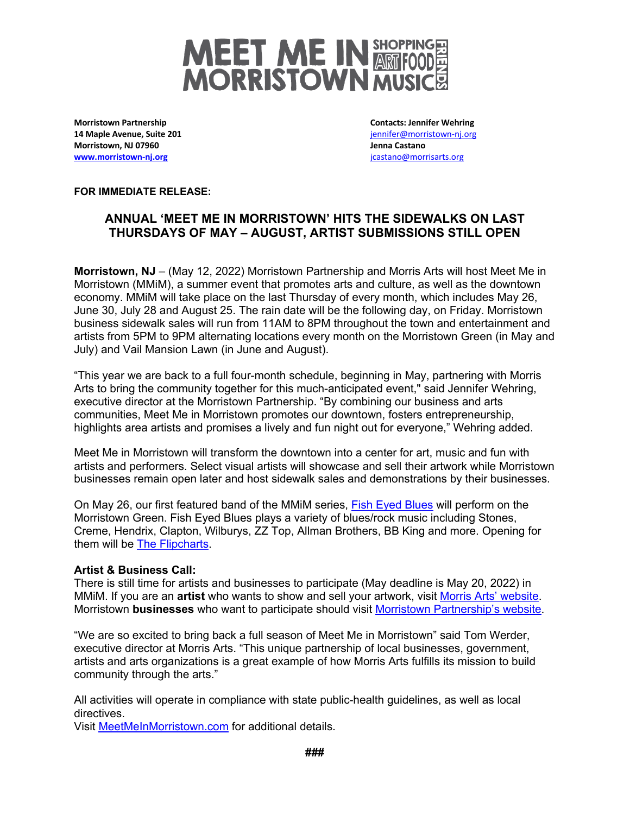

**Morristown Partnership 14 Maple Avenue, Suite 201 Morristown, NJ 07960 www.morristown-nj.org**

**Contacts: Jennifer Wehring** jennifer@morristown-nj.org **Jenna Castano** jcastano@morrisarts.org

**FOR IMMEDIATE RELEASE:**

## **ANNUAL 'MEET ME IN MORRISTOWN' HITS THE SIDEWALKS ON LAST THURSDAYS OF MAY – AUGUST, ARTIST SUBMISSIONS STILL OPEN**

**Morristown, NJ** – (May 12, 2022) Morristown Partnership and Morris Arts will host Meet Me in Morristown (MMiM), a summer event that promotes arts and culture, as well as the downtown economy. MMiM will take place on the last Thursday of every month, which includes May 26, June 30, July 28 and August 25. The rain date will be the following day, on Friday. Morristown business sidewalk sales will run from 11AM to 8PM throughout the town and entertainment and artists from 5PM to 9PM alternating locations every month on the Morristown Green (in May and July) and Vail Mansion Lawn (in June and August).

"This year we are back to a full four-month schedule, beginning in May, partnering with Morris Arts to bring the community together for this much-anticipated event," said Jennifer Wehring, executive director at the Morristown Partnership. "By combining our business and arts communities, Meet Me in Morristown promotes our downtown, fosters entrepreneurship, highlights area artists and promises a lively and fun night out for everyone," Wehring added.

Meet Me in Morristown will transform the downtown into a center for art, music and fun with artists and performers. Select visual artists will showcase and sell their artwork while Morristown businesses remain open later and host sidewalk sales and demonstrations by their businesses.

On May 26, our first featured band of the MMiM series, Fish Eyed Blues will perform on the Morristown Green. Fish Eyed Blues plays a variety of blues/rock music including Stones, Creme, Hendrix, Clapton, Wilburys, ZZ Top, Allman Brothers, BB King and more. Opening for them will be The Flipcharts.

## **Artist & Business Call:**

There is still time for artists and businesses to participate (May deadline is May 20, 2022) in MMiM. If you are an **artist** who wants to show and sell your artwork, visit Morris Arts' website. Morristown **businesses** who want to participate should visit Morristown Partnership's website.

"We are so excited to bring back a full season of Meet Me in Morristown" said Tom Werder, executive director at Morris Arts. "This unique partnership of local businesses, government, artists and arts organizations is a great example of how Morris Arts fulfills its mission to build community through the arts."

All activities will operate in compliance with state public-health guidelines, as well as local directives.

Visit MeetMeInMorristown.com for additional details.